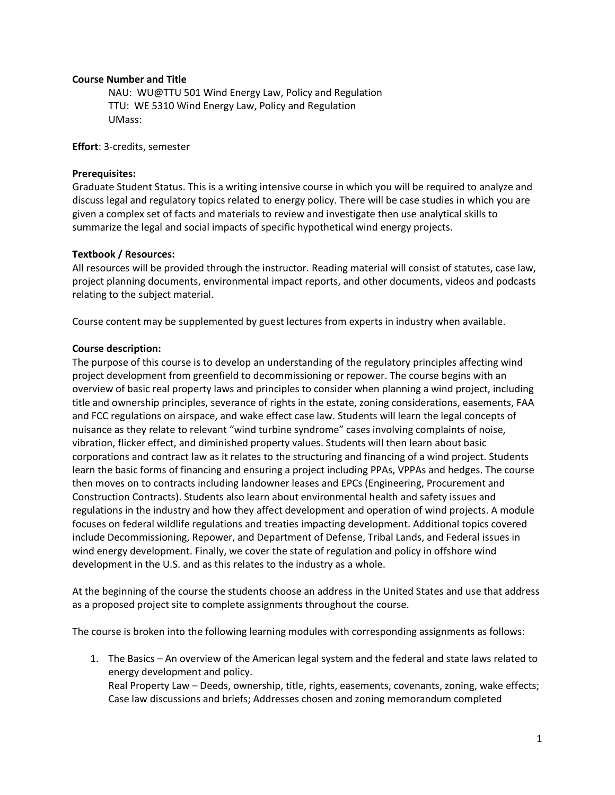# **Course Number and Title**

NAU: WU@TTU 501 Wind Energy Law, Policy and Regulation TTU: WE 5310 Wind Energy Law, Policy and Regulation UMass:

**Effort**: 3-credits, semester

# **Prerequisites:**

Graduate Student Status. This is a writing intensive course in which you will be required to analyze and discuss legal and regulatory topics related to energy policy. There will be case studies in which you are given a complex set of facts and materials to review and investigate then use analytical skills to summarize the legal and social impacts of specific hypothetical wind energy projects.

#### **Textbook / Resources:**

All resources will be provided through the instructor. Reading material will consist of statutes, case law, project planning documents, environmental impact reports, and other documents, videos and podcasts relating to the subject material.

Course content may be supplemented by guest lectures from experts in industry when available.

#### **Course description:**

The purpose of this course is to develop an understanding of the regulatory principles affecting wind project development from greenfield to decommissioning or repower. The course begins with an overview of basic real property laws and principles to consider when planning a wind project, including title and ownership principles, severance of rights in the estate, zoning considerations, easements, FAA and FCC regulations on airspace, and wake effect case law. Students will learn the legal concepts of nuisance as they relate to relevant "wind turbine syndrome" cases involving complaints of noise, vibration, flicker effect, and diminished property values. Students will then learn about basic corporations and contract law as it relates to the structuring and financing of a wind project. Students learn the basic forms of financing and ensuring a project including PPAs, VPPAs and hedges. The course then moves on to contracts including landowner leases and EPCs (Engineering, Procurement and Construction Contracts). Students also learn about environmental health and safety issues and regulations in the industry and how they affect development and operation of wind projects. A module focuses on federal wildlife regulations and treaties impacting development. Additional topics covered include Decommissioning, Repower, and Department of Defense, Tribal Lands, and Federal issues in wind energy development. Finally, we cover the state of regulation and policy in offshore wind development in the U.S. and as this relates to the industry as a whole.

At the beginning of the course the students choose an address in the United States and use that address as a proposed project site to complete assignments throughout the course.

The course is broken into the following learning modules with corresponding assignments as follows:

1. The Basics – An overview of the American legal system and the federal and state laws related to energy development and policy. Real Property Law – Deeds, ownership, title, rights, easements, covenants, zoning, wake effects; Case law discussions and briefs; Addresses chosen and zoning memorandum completed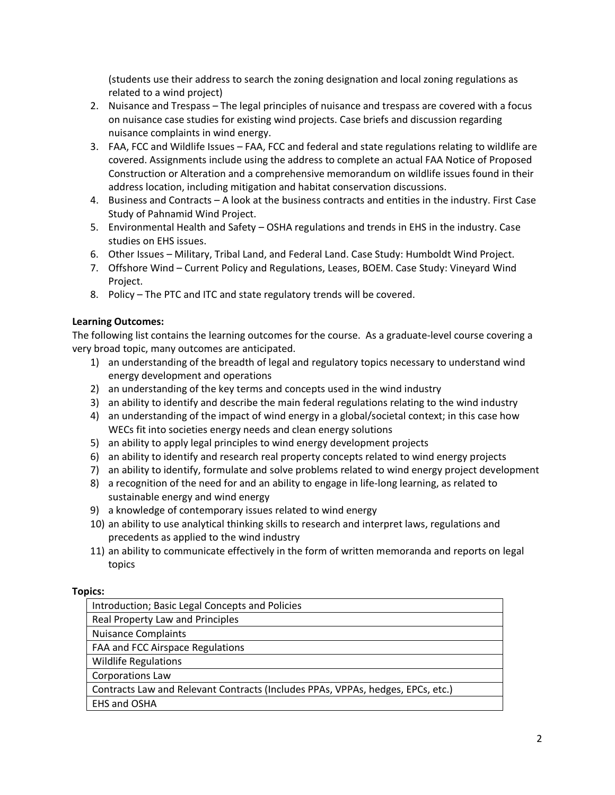(students use their address to search the zoning designation and local zoning regulations as related to a wind project)

- 2. Nuisance and Trespass The legal principles of nuisance and trespass are covered with a focus on nuisance case studies for existing wind projects. Case briefs and discussion regarding nuisance complaints in wind energy.
- 3. FAA, FCC and Wildlife Issues FAA, FCC and federal and state regulations relating to wildlife are covered. Assignments include using the address to complete an actual FAA Notice of Proposed Construction or Alteration and a comprehensive memorandum on wildlife issues found in their address location, including mitigation and habitat conservation discussions.
- 4. Business and Contracts A look at the business contracts and entities in the industry. First Case Study of Pahnamid Wind Project.
- 5. Environmental Health and Safety OSHA regulations and trends in EHS in the industry. Case studies on EHS issues.
- 6. Other Issues Military, Tribal Land, and Federal Land. Case Study: Humboldt Wind Project.
- 7. Offshore Wind Current Policy and Regulations, Leases, BOEM. Case Study: Vineyard Wind Project.
- 8. Policy The PTC and ITC and state regulatory trends will be covered.

# **Learning Outcomes:**

The following list contains the learning outcomes for the course. As a graduate-level course covering a very broad topic, many outcomes are anticipated.

- 1) an understanding of the breadth of legal and regulatory topics necessary to understand wind energy development and operations
- 2) an understanding of the key terms and concepts used in the wind industry
- 3) an ability to identify and describe the main federal regulations relating to the wind industry
- 4) an understanding of the impact of wind energy in a global/societal context; in this case how WECs fit into societies energy needs and clean energy solutions
- 5) an ability to apply legal principles to wind energy development projects
- 6) an ability to identify and research real property concepts related to wind energy projects
- 7) an ability to identify, formulate and solve problems related to wind energy project development
- 8) a recognition of the need for and an ability to engage in life-long learning, as related to sustainable energy and wind energy
- 9) a knowledge of contemporary issues related to wind energy
- 10) an ability to use analytical thinking skills to research and interpret laws, regulations and precedents as applied to the wind industry
- 11) an ability to communicate effectively in the form of written memoranda and reports on legal topics

# **Topics:**

| Introduction; Basic Legal Concepts and Policies                                 |
|---------------------------------------------------------------------------------|
| Real Property Law and Principles                                                |
| <b>Nuisance Complaints</b>                                                      |
| FAA and FCC Airspace Regulations                                                |
| <b>Wildlife Regulations</b>                                                     |
| Corporations Law                                                                |
| Contracts Law and Relevant Contracts (Includes PPAs, VPPAs, hedges, EPCs, etc.) |
| EHS and OSHA                                                                    |